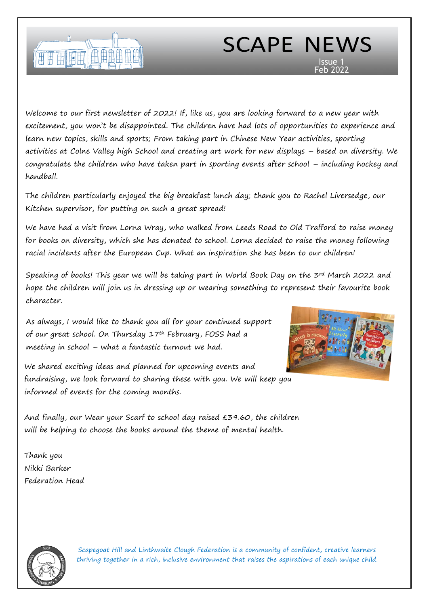

# SCAPE NEWS Issue 1

Feb 2022

Welcome to our first newsletter of 2022! If, like us, you are looking forward to a new year with excitement, you won't be disappointed. The children have had lots of opportunities to experience and learn new topics, skills and sports; From taking part in Chinese New Year activities, sporting activities at Colne Valley high School and creating art work for new displays – based on diversity. We congratulate the children who have taken part in sporting events after school – including hockey and handball.

The children particularly enjoyed the big breakfast lunch day; thank you to Rachel Liversedge, our Kitchen supervisor, for putting on such a great spread!

We have had a visit from Lorna Wray, who walked from Leeds Road to Old Trafford to raise money for books on diversity, which she has donated to school. Lorna decided to raise the money following racial incidents after the European Cup. What an inspiration she has been to our children!

Speaking of books! This year we will be taking part in World Book Day on the 3rd March 2022 and hope the children will join us in dressing up or wearing something to represent their favourite book character.

As always, I would like to thank you all for your continued support of our great school. On Thursday 17th February, FOSS had a meeting in school – what a fantastic turnout we had.

We shared exciting ideas and planned for upcoming events and fundraising, we look forward to sharing these with you. We will keep you informed of events for the coming months.

And finally, our Wear your Scarf to school day raised £39.60, the children will be helping to choose the books around the theme of mental health.

Thank you Nikki Barker Federation Head

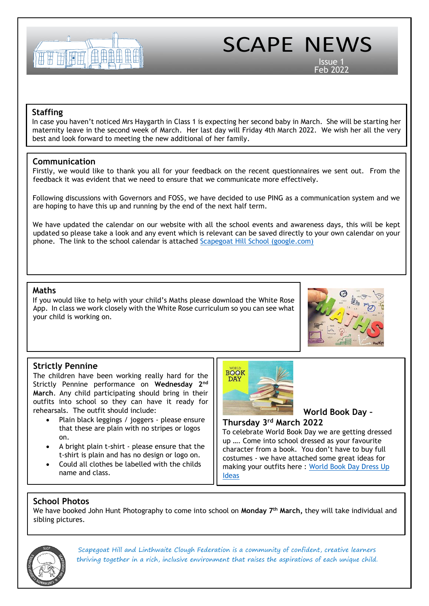

Issue 1 Feb 2022

# **Staffing**

In case you haven't noticed Mrs Haygarth in Class 1 is expecting her second baby in March. She will be starting her maternity leave in the second week of March. Her last day will Friday 4th March 2022. We wish her all the very best and look forward to meeting the new additional of her family.

### **Communication**

Firstly, we would like to thank you all for your feedback on the recent questionnaires we sent out. From the feedback it was evident that we need to ensure that we communicate more effectively.

Following discussions with Governors and FOSS, we have decided to use PING as a communication system and we are hoping to have this up and running by the end of the next half term.

We have updated the calendar on our website with all the school events and awareness days, this will be kept updated so please take a look and any event which is relevant can be saved directly to your own calendar on your phone. The link to the school calendar is attached [Scapegoat Hill School \(google.com\)](https://calendar.google.com/calendar/u/0/embed?src=scape.calendar@gmail.com&ctz=Europe/London)

### **Maths**

If you would like to help with your child's Maths please download the White Rose App. In class we work closely with the White Rose curriculum so you can see what your child is working on.



# **Strictly Pennine**

The children have been working really hard for the Strictly Pennine performance on **Wednesday 2nd March**. Any child participating should bring in their outfits into school so they can have it ready for rehearsals. The outfit should include:

- Plain black leggings / joggers please ensure that these are plain with no stripes or logos on.
- A bright plain t-shirt please ensure that the t-shirt is plain and has no design or logo on.
- Could all clothes be labelled with the childs name and class.





# **Thursday 3rd March 2022**

To celebrate World Book Day we are getting dressed up …. Come into school dressed as your favourite character from a book. You don't have to buy full costumes - we have attached some great ideas for making your outfits here : World Book Day Dress Up [Ideas](https://www.worldbookday.com/dressing-up-ideas/)

# **School Photos**

We have booked John Hunt Photography to come into school on **Monday 7th March,** they will take individual and sibling pictures.

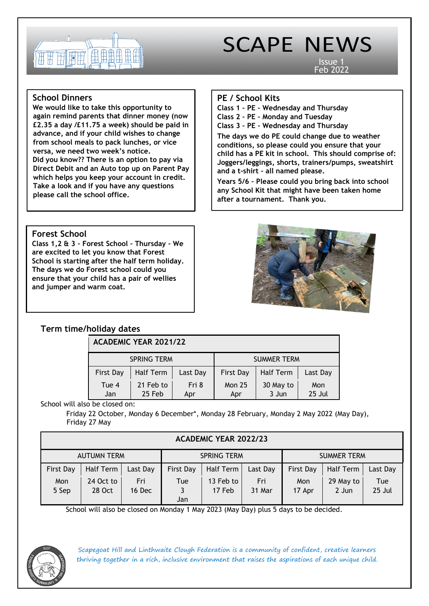

Issue 1 Feb 2022

i

# **School Dinners**

**We would like to take this opportunity to again remind parents that dinner money (now £2.35 a day /£11.75 a week) should be paid in advance, and if your child wishes to change from school meals to pack lunches, or vice versa, we need two week's notice.**

**Did you know?? There is an option to pay via Direct Debit and an Auto top up on Parent Pay which helps you keep your account in credit. Take a look and if you have any questions please call the school office.**

# **PE / School Kits**

**Class 1 – PE – Wednesday and Thursday**

**Class 2 – PE – Monday and Tuesday**

**Class 3 – PE – Wednesday and Thursday** 

**The days we do PE could change due to weather conditions, so please could you ensure that your child has a PE kit in school. This should comprise of: Joggers/leggings, shorts, trainers/pumps, sweatshirt and a t-shirt – all named please.**

**Years 5/6 – Please could you bring back into school any School Kit that might have been taken home after a tournament. Thank you.**

# **Forest School**

**Class 1,2 & 3 – Forest School – Thursday – We are excited to let you know that Forest School is starting after the half term holiday. The days we do Forest school could you ensure that your child has a pair of wellies and jumper and warm coat.**



# **Term time/holiday dates**

# **ACADEMIC YEAR 2021/22**

|                  | <b>SPRING TERM</b>  |              | <b>SUMMER TERM</b>   |                    |               |  |
|------------------|---------------------|--------------|----------------------|--------------------|---------------|--|
| <b>First Day</b> | Half Term           | Last Day     | <b>First Day</b>     | <b>Half Term</b>   | Last Day      |  |
| Tue 4<br>Jan     | 21 Feb to<br>25 Feb | Fri 8<br>Apr | <b>Mon 25</b><br>Apr | 30 May to<br>3 Jun | Mon<br>25 Jul |  |

School will also be closed on:

Friday 22 October, Monday 6 December\*, Monday 28 February, Monday 2 May 2022 (May Day), Friday 27 May

# **ACADEMIC YEAR 2022/23**

| <b>AUTUMN TERM</b> |                     |               | <b>SPRING TERM</b> |                     |                 | <b>SUMMER TERM</b> |                    |               |  |  |  |
|--------------------|---------------------|---------------|--------------------|---------------------|-----------------|--------------------|--------------------|---------------|--|--|--|
| <b>First Day</b>   | Half Term           | Last Day      | <b>First Day</b>   | Half Term           | <b>Last Day</b> | <b>First Day</b>   | Half Term          | Last Day      |  |  |  |
| Mon<br>5 Sep       | 24 Oct to<br>28 Oct | Fri<br>16 Dec | Tue                | 13 Feb to<br>17 Feb | Fri<br>31 Mar   | Mon<br>17 Apr      | 29 May to<br>2 Jun | Tue<br>25 Jul |  |  |  |
|                    |                     |               | Jan                |                     |                 |                    |                    |               |  |  |  |

School will also be closed on Monday 1 May 2023 (May Day) plus 5 days to be decided.

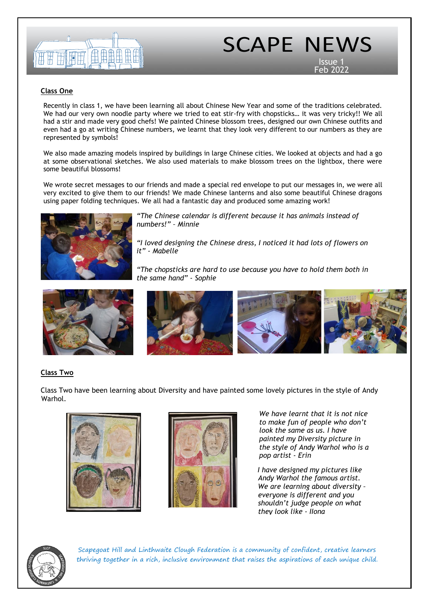

Issue 1 Feb 2022

### **Class One**

Recently in class 1, we have been learning all about Chinese New Year and some of the traditions celebrated. We had our very own noodle party where we tried to eat stir-fry with chopsticks… it was very tricky!! We all had a stir and made very good chefs! We painted Chinese blossom trees, designed our own Chinese outfits and even had a go at writing Chinese numbers, we learnt that they look very different to our numbers as they are represented by symbols!

We also made amazing models inspired by buildings in large Chinese cities. We looked at objects and had a go at some observational sketches. We also used materials to make blossom trees on the lightbox, there were some beautiful blossoms!

We wrote secret messages to our friends and made a special red envelope to put our messages in, we were all very excited to give them to our friends! We made Chinese lanterns and also some beautiful Chinese dragons using paper folding techniques. We all had a fantastic day and produced some amazing work!



*"The Chinese calendar is different because it has animals instead of numbers!" – Minnie*

*"I loved designing the Chinese dress, I noticed it had lots of flowers on it" - Mabelle*

*"The chopsticks are hard to use because you have to hold them both in the same hand" - Sophie*



### **Class Two**

Class Two have been learning about Diversity and have painted some lovely pictures in the style of Andy Warhol. "The chopsticks are hard to use because you have to hold them both in the same hand" - Sophie  $T$ Chinese numbers are really hard pictures instead of numbers in  $\mathcal{L}$  are hard pictures instead of numbers  $\mathcal{L}$ 





*We have learnt that it is not nice to make fun of people who don't look the same as us. I have painted my Diversity picture in the style of Andy Warhol who is a pop artist - Erin*

*I have designed my pictures like Andy Warhol the famous artist. We are learning about diversity – everyone is different and you shouldn't judge people on what they look like - IIona*